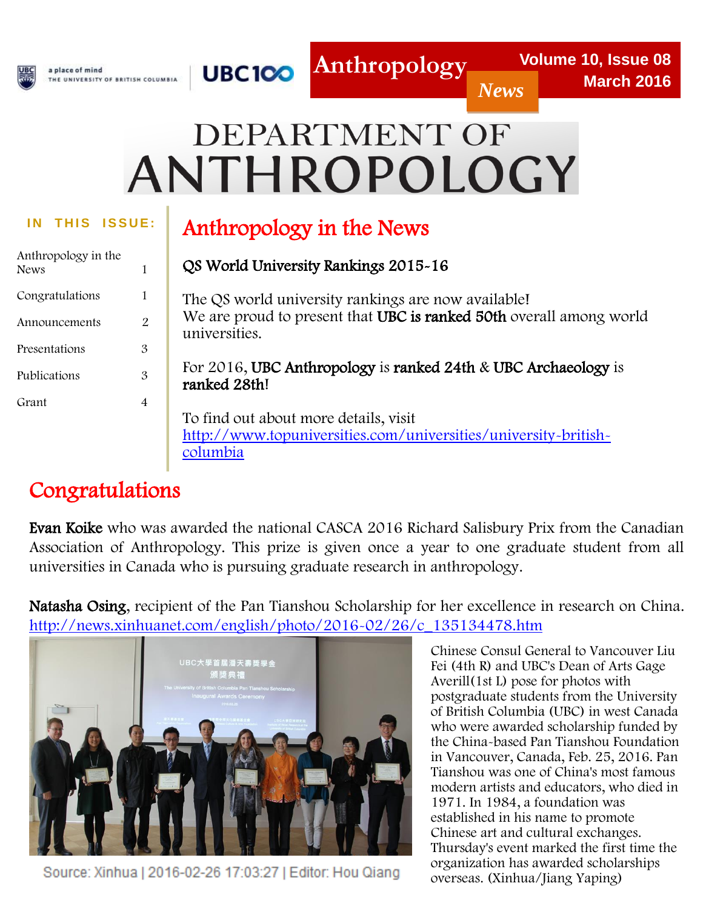

# DEPARTMENT OF ANTHROPOLOGY

l

| Anthropology in the<br><b>News</b> | 1 |
|------------------------------------|---|
| Congratulations                    | 1 |
| Announcements                      | 2 |
| Presentations                      | 3 |
| Publications                       | 3 |
| Grant                              |   |

# THIS ISSUE: **Anthropology in the News**

| 1              | QS World University Rankings 2015-16                                                 |
|----------------|--------------------------------------------------------------------------------------|
| 1              | The QS world university rankings are now available!                                  |
| $\overline{2}$ | We are proud to present that UBC is ranked 50th overall among world<br>universities. |
| 3              |                                                                                      |
| 3              | For 2016, UBC Anthropology is ranked 24th & UBC Archaeology is<br>ranked 28th!       |
| $\overline{4}$ |                                                                                      |
|                | To find out about more details, visit                                                |
|                | http://www.topuniversities.com/universities/university-british-<br>columbia          |

# Congratulations

Evan Koike who was awarded the national CASCA 2016 Richard Salisbury Prix from the Canadian Association of Anthropology. This prize is given once a year to one graduate student from all universities in Canada who is pursuing graduate research in anthropology.

Natasha Osing, recipient of the Pan Tianshou Scholarship for her excellence in research on China. [http://news.xinhuanet.com/english/photo/2016-02/26/c\\_135134478.htm](http://news.xinhuanet.com/english/photo/2016-02/26/c_135134478.htm)



Source: Xinhua | 2016-02-26 17:03:27 | Editor: Hou Qiang

Chinese Consul General to Vancouver Liu Fei (4th R) and UBC's Dean of Arts Gage Averill(1st L) pose for photos with postgraduate students from the University of British Columbia (UBC) in west Canada who were awarded scholarship funded by the China-based Pan Tianshou Foundation in Vancouver, Canada, Feb. 25, 2016. Pan Tianshou was one of China's most famous modern artists and educators, who died in 1971. In 1984, a foundation was established in his name to promote Chinese art and cultural exchanges. Thursday's event marked the first time the organization has awarded scholarships overseas. (Xinhua/Jiang Yaping)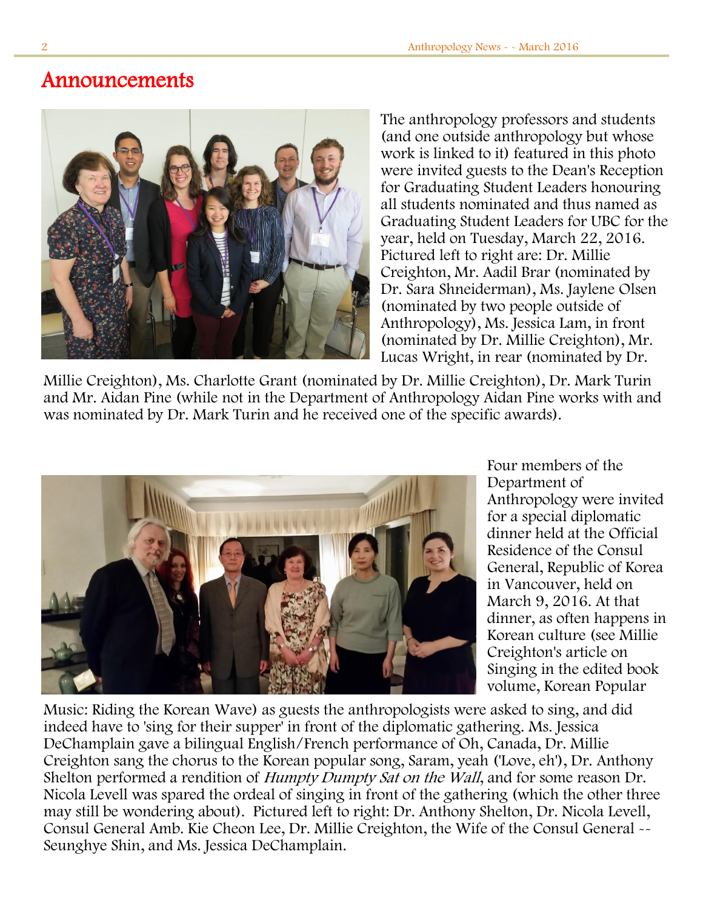## Announcements



The anthropology professors and students (and one outside anthropology but whose work is linked to it) featured in this photo were invited guests to the Dean's Reception for Graduating Student Leaders honouring all students nominated and thus named as Graduating Student Leaders for UBC for the year, held on Tuesday, March 22, 2016. Pictured left to right are: Dr. Millie Creighton, Mr. Aadil Brar (nominated by Dr. Sara Shneiderman), Ms. Jaylene Olsen (nominated by two people outside of Anthropology), Ms. Jessica Lam, in front (nominated by Dr. Millie Creighton), Mr. Lucas Wright, in rear (nominated by Dr.

willie Creighton), wis. Charlotte Grant (nominated by Dr. Millie Creighton), Dr. Mark Turin<br>and Mr. Aidan Pine (while not in the Department of Anthropology Aidan Pine works with and  $\ddot{\ }$ Millie Creighton), Ms. Charlotte Grant (nominated by Dr. Millie Creighton), Dr. Mark Turin was nominated by Dr. Mark Turin and he received one of the specific awards).



Four members of the Department of Anthropology were invited for a special diplomatic dinner held at the Official Residence of the Consul General, Republic of Korea in Vancouver, held on March 9, 2016. At that dinner, as often happens in Korean culture (see Millie Creighton's article on Singing in the edited book volume, Korean Popular

Music: Riding the Korean Wave) as guests the anthropologists were asked to sing, and did indeed have to 'sing for their supper' in front of the diplomatic gathering. Ms. Jessica DeChamplain gave a bilingual English/French performance of Oh, Canada, Dr. Millie Creighton sang the chorus to the Korean popular song, Saram, yeah ('Love, eh'), Dr. Anthony Shelton performed a rendition of *Humpty Dumpty Sat on the Wall*, and for some reason Dr. Nicola Levell was spared the ordeal of singing in front of the gathering (which the other three may still be wondering about). Pictured left to right: Dr. Anthony Shelton, Dr. Nicola Levell, Consul General Amb. Kie Cheon Lee, Dr. Millie Creighton, the Wife of the Consul General -- Seunghye Shin, and Ms. Jessica DeChamplain.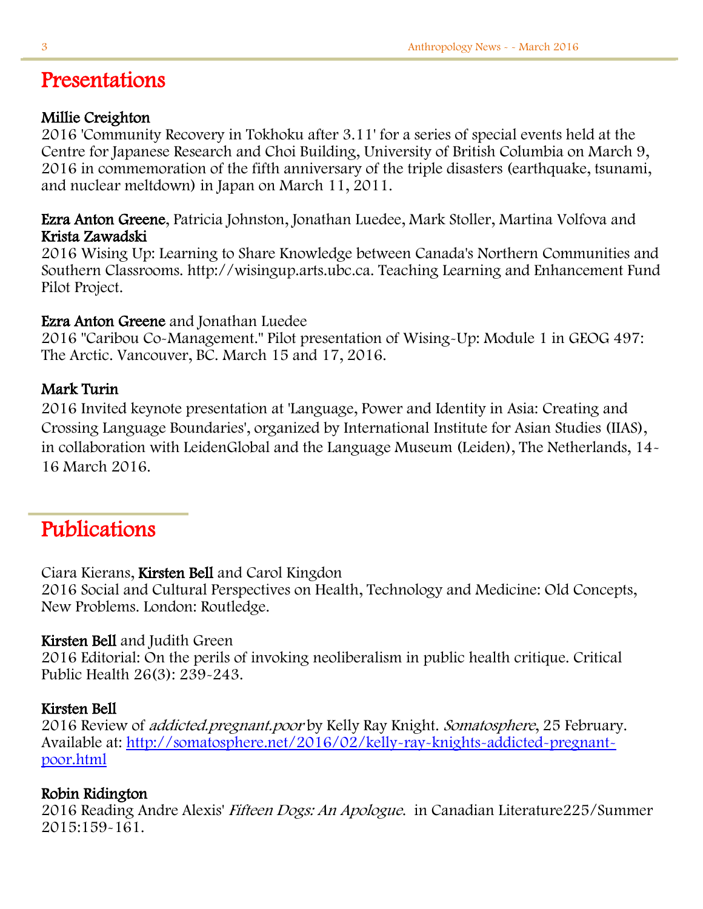# Presentations

#### Millie Creighton

2016 'Community Recovery in Tokhoku after 3.11' for a series of special events held at the Centre for Japanese Research and Choi Building, University of British Columbia on March 9, 2016 in commemoration of the fifth anniversary of the triple disasters (earthquake, tsunami, and nuclear meltdown) in Japan on March 11, 2011.

Ezra Anton Greene, Patricia Johnston, Jonathan Luedee, Mark Stoller, Martina Volfova and Krista Zawadski

2016 Wising Up: Learning to Share Knowledge between Canada's Northern Communities and Southern Classrooms. http://wisingup.arts.ubc.ca. Teaching Learning and Enhancement Fund Pilot Project.

### Ezra Anton Greene and Jonathan Luedee

2016 "Caribou Co-Management." Pilot presentation of Wising-Up: Module 1 in GEOG 497: The Arctic. Vancouver, BC. March 15 and 17, 2016.

### Mark Turin

2016 Invited keynote presentation at 'Language, Power and Identity in Asia: Creating and Crossing Language Boundaries', organized by International Institute for Asian Studies (IIAS), in collaboration with LeidenGlobal and the Language Museum (Leiden), The Netherlands, 14- 16 March 2016.

# Publications

### Ciara Kierans, Kirsten Bell and Carol Kingdon

2016 Social and Cultural Perspectives on Health, Technology and Medicine: Old Concepts, New Problems. London: Routledge.

### Kirsten Bell and Judith Green

2016 Editorial: On the perils of invoking neoliberalism in public health critique. Critical Public Health 26(3): 239-243.

#### Kirsten Bell

2016 Review of addicted.pregnant.poor by Kelly Ray Knight. Somatosphere, 25 February. Available at: [http://somatosphere.net/2016/02/kelly-ray-knights-addicted-pregnant](http://somatosphere.net/2016/02/kelly-ray-knights-addicted-pregnant-poor.html)[poor.html](http://somatosphere.net/2016/02/kelly-ray-knights-addicted-pregnant-poor.html)

### Robin Ridington

2016 Reading Andre Alexis' Fifteen Dogs: An Apologue. in Canadian Literature225/Summer 2015:159-161.